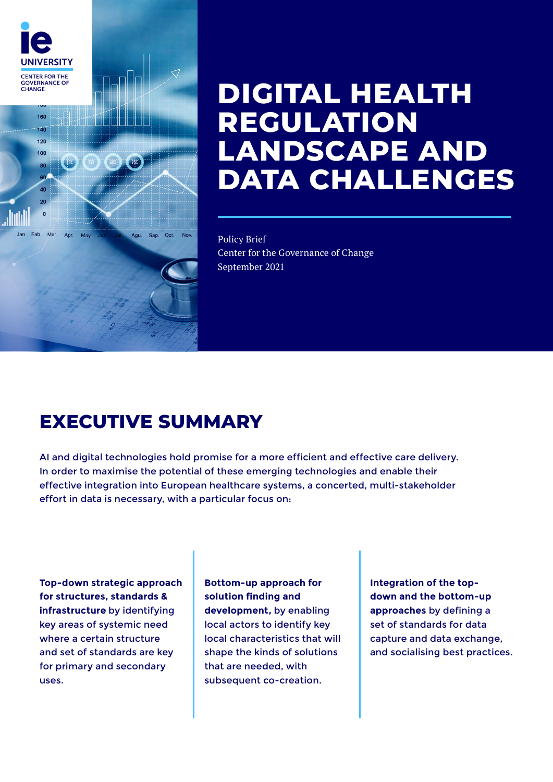

# **DIGITAL HEALTH REGULATION LANDSCAPE AND DATA CHALLENGES**

### Policy Brief

Center for the Governance of Change September 2021

# **EXECUTIVE SUMMARY**

AI and digital technologies hold promise for a more efficient and effective care delivery. In order to maximise the potential of these emerging technologies and enable their effective integration into European healthcare systems, a concerted, multi-stakeholder effort in data is necessary, with a particular focus on:

**Top-down strategic approach for structures, standards & infrastructure** by identifying key areas of systemic need where a certain structure and set of standards are key for primary and secondary uses.

**Bottom-up approach for solution finding and development,** by enabling local actors to identify key local characteristics that will shape the kinds of solutions that are needed, with subsequent co-creation.

**Integration of the topdown and the bottom-up approaches** by defining a set of standards for data capture and data exchange, and socialising best practices.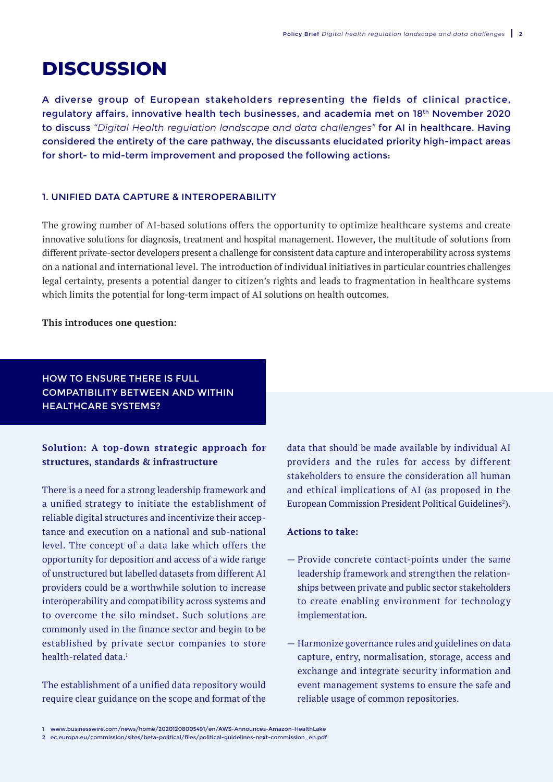# **DISCUSSION**

A diverse group of European stakeholders representing the fields of clinical practice, regulatory affairs, innovative health tech businesses, and academia met on 18th November 2020 to discuss *"Digital Health regulation landscape and data challenges"* for AI in healthcare. Having considered the entirety of the care pathway, the discussants elucidated priority high-impact areas for short- to mid-term improvement and proposed the following actions:

#### 1. UNIFIED DATA CAPTURE & INTEROPERABILITY

The growing number of AI-based solutions offers the opportunity to optimize healthcare systems and create innovative solutions for diagnosis, treatment and hospital management. However, the multitude of solutions from different private-sector developers present a challenge for consistent data capture and interoperability across systems on a national and international level. The introduction of individual initiatives in particular countries challenges legal certainty, presents a potential danger to citizen's rights and leads to fragmentation in healthcare systems which limits the potential for long-term impact of AI solutions on health outcomes.

#### **This introduces one question:**

HOW TO ENSURE THERE IS FULL COMPATIBILITY BETWEEN AND WITHIN HEALTHCARE SYSTEMS?

# **Solution: A top-down strategic approach for structures, standards & infrastructure**

There is a need for a strong leadership framework and a unified strategy to initiate the establishment of reliable digital structures and incentivize their acceptance and execution on a national and sub-national level. The concept of a data lake which offers the opportunity for deposition and access of a wide range of unstructured but labelled datasets from different AI providers could be a worthwhile solution to increase interoperability and compatibility across systems and to overcome the silo mindset. Such solutions are commonly used in the finance sector and begin to be established by private sector companies to store health-related data<sup>1</sup>

The establishment of a unified data repository would require clear guidance on the scope and format of the data that should be made available by individual AI providers and the rules for access by different stakeholders to ensure the consideration all human and ethical implications of AI (as proposed in the European Commission President Political Guidelines<sup>2</sup>).

#### **Actions to take:**

- Provide concrete contact-points under the same leadership framework and strengthen the relationships between private and public sector stakeholders to create enabling environment for technology implementation.
- Harmonize governance rules and guidelines on data capture, entry, normalisation, storage, access and exchange and integrate security information and event management systems to ensure the safe and reliable usage of common repositories.

<sup>1</sup> [www.businesswire.com/news/home/20201208005491/en/AWS-Announces-Amazon-HealthLake](http://www.businesswire.com/news/home/20201208005491/en/AWS-Announces-Amazon-HealthLake)

<sup>2</sup> [ec.europa.eu/commission/sites/beta-political/files/political-guidelines-next-commission\\_en.pdf](http://ec.europa.eu/commission/sites/beta-political/files/political-guidelines-next-commission_en.pdf)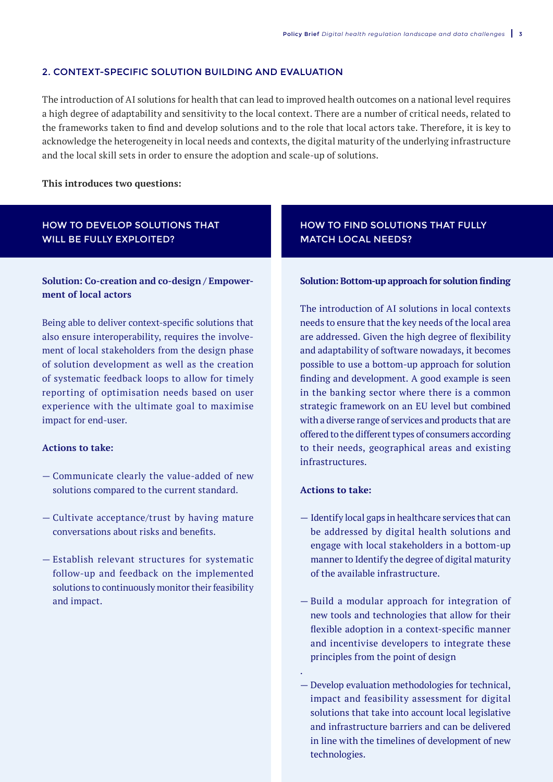#### 2. CONTEXT-SPECIFIC SOLUTION BUILDING AND EVALUATION

The introduction of AI solutions for health that can lead to improved health outcomes on a national level requires a high degree of adaptability and sensitivity to the local context. There are a number of critical needs, related to the frameworks taken to find and develop solutions and to the role that local actors take. Therefore, it is key to acknowledge the heterogeneity in local needs and contexts, the digital maturity of the underlying infrastructure and the local skill sets in order to ensure the adoption and scale-up of solutions.

#### **This introduces two questions:**

# HOW TO DEVELOP SOLUTIONS THAT WILL BE FULLY EXPLOITED?

## **Solution: Co-creation and co-design / Empowerment of local actors**

Being able to deliver context-specific solutions that also ensure interoperability, requires the involvement of local stakeholders from the design phase of solution development as well as the creation of systematic feedback loops to allow for timely reporting of optimisation needs based on user experience with the ultimate goal to maximise impact for end-user.

#### **Actions to take:**

- Communicate clearly the value-added of new solutions compared to the current standard.
- Cultivate acceptance/trust by having mature conversations about risks and benefits.
- Establish relevant structures for systematic follow-up and feedback on the implemented solutions to continuously monitor their feasibility and impact.

## HOW TO FIND SOLUTIONS THAT FULLY MATCH LOCAL NEEDS?

#### **Solution: Bottom-up approach for solution finding**

The introduction of AI solutions in local contexts needs to ensure that the key needs of the local area are addressed. Given the high degree of flexibility and adaptability of software nowadays, it becomes possible to use a bottom-up approach for solution finding and development. A good example is seen in the banking sector where there is a common strategic framework on an EU level but combined with a diverse range of services and products that are offered to the different types of consumers according to their needs, geographical areas and existing infrastructures.

#### **Actions to take:**

.

- Identify local gaps in healthcare services that can be addressed by digital health solutions and engage with local stakeholders in a bottom-up manner to Identify the degree of digital maturity of the available infrastructure.
- Build a modular approach for integration of new tools and technologies that allow for their flexible adoption in a context-specific manner and incentivise developers to integrate these principles from the point of design
- Develop evaluation methodologies for technical, impact and feasibility assessment for digital solutions that take into account local legislative and infrastructure barriers and can be delivered in line with the timelines of development of new technologies.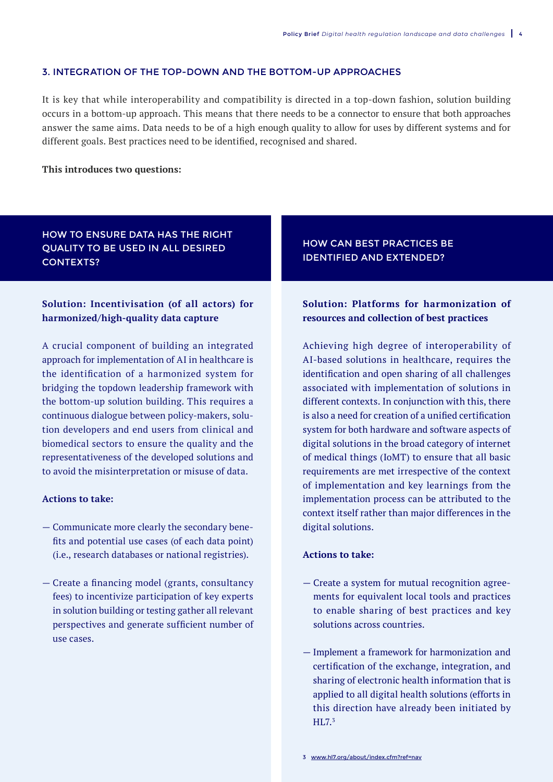#### 3. INTEGRATION OF THE TOP-DOWN AND THE BOTTOM-UP APPROACHES

It is key that while interoperability and compatibility is directed in a top-down fashion, solution building occurs in a bottom-up approach. This means that there needs to be a connector to ensure that both approaches answer the same aims. Data needs to be of a high enough quality to allow for uses by different systems and for different goals. Best practices need to be identified, recognised and shared.

#### **This introduces two questions:**

# HOW TO ENSURE DATA HAS THE RIGHT QUALITY TO BE USED IN ALL DESIRED CONTEXTS?

# 3. INTEGRATION OF THE TOP-DOWN AND **harmonized/high-quality data capture Solution: Incentivisation (of all actors) for**

approach for implementation of AI in healthcare is  $\hspace{0.1mm}$ the identification of a harmonized system for bridging the topdown leadership framework with the bottom-up solution building. This requires a continuous dialogue between policy-makers, solution developers and end users from clinical and biomedical sectors to ensure the quality and the representativeness of the developed solutions and A crucial component of building an integrated to avoid the misinterpretation or misuse of data.

#### **Actions to take:**

- Communicate more clearly the secondary benefits and potential use cases (of each data point) (i.e., research databases or national registries).
- Create a financing model (grants, consultancy fees) to incentivize participation of key experts in solution building or testing gather all relevant perspectives and generate sufficient number of use cases.

# HOW CAN BEST PRACTICES BE IDENTIFIED AND EXTENDED?

# **Solution: Platforms for harmonization of resources and collection of best practices**

Achieving high degree of interoperability of AI-based solutions in healthcare, requires the identification and open sharing of all challenges associated with implementation of solutions in different contexts. In conjunction with this, there is also a need for creation of a unified certification system for both hardware and software aspects of digital solutions in the broad category of internet of medical things (IoMT) to ensure that all basic requirements are met irrespective of the context of implementation and key learnings from the implementation process can be attributed to the context itself rather than major differences in the digital solutions.

#### **Actions to take:**

- Create a system for mutual recognition agreements for equivalent local tools and practices to enable sharing of best practices and key solutions across countries.
- Implement a framework for harmonization and certification of the exchange, integration, and sharing of electronic health information that is applied to all digital health solutions (efforts in this direction have already been initiated by HL7.3